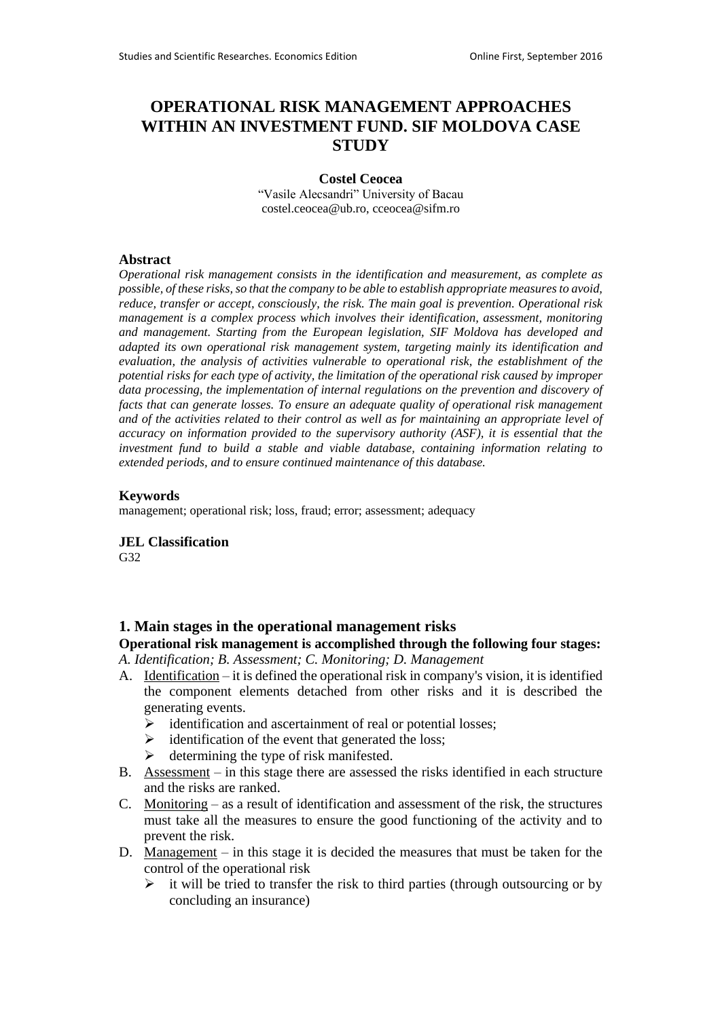# **OPERATIONAL RISK MANAGEMENT APPROACHES WITHIN AN INVESTMENT FUND. SIF MOLDOVA CASE STUDY**

#### **Costel Ceocea**

"Vasile Alecsandri" University of Bacau costel.ceocea@ub.ro, cceocea@sifm.ro

### **Abstract**

*Operational risk management consists in the identification and measurement, as complete as possible, of these risks, so that the company to be able to establish appropriate measures to avoid, reduce, transfer or accept, consciously, the risk. The main goal is prevention. Operational risk management is a complex process which involves their identification, assessment, monitoring and management. Starting from the European legislation, SIF Moldova has developed and adapted its own operational risk management system, targeting mainly its identification and evaluation, the analysis of activities vulnerable to operational risk, the establishment of the potential risks for each type of activity, the limitation of the operational risk caused by improper data processing, the implementation of internal regulations on the prevention and discovery of facts that can generate losses. To ensure an adequate quality of operational risk management and of the activities related to their control as well as for maintaining an appropriate level of accuracy on information provided to the supervisory authority (ASF), it is essential that the investment fund to build a stable and viable database, containing information relating to extended periods, and to ensure continued maintenance of this database.*

### **Keywords**

management; operational risk; loss, fraud; error; assessment; adequacy

**JEL Classification**

G32

### **1. Main stages in the operational management risks**

# **Operational risk management is accomplished through the following four stages:**

*A. Identification; B. Assessment; C. Monitoring; D. Management*

- A. Identification it is defined the operational risk in company's vision, it is identified the component elements detached from other risks and it is described the generating events.
	- $\triangleright$  identification and ascertainment of real or potential losses;
	- $\triangleright$  identification of the event that generated the loss;
	- $\triangleright$  determining the type of risk manifested.
- B. Assessment in this stage there are assessed the risks identified in each structure and the risks are ranked.
- C. Monitoring as a result of identification and assessment of the risk, the structures must take all the measures to ensure the good functioning of the activity and to prevent the risk.
- D. Management in this stage it is decided the measures that must be taken for the control of the operational risk
	- $\triangleright$  it will be tried to transfer the risk to third parties (through outsourcing or by concluding an insurance)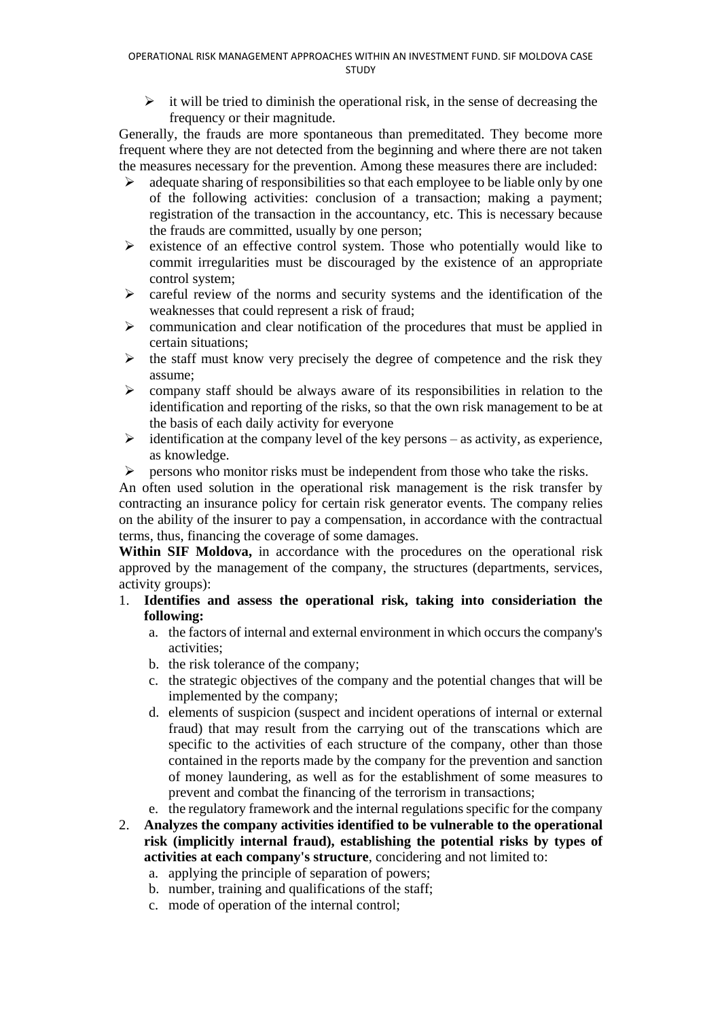$\triangleright$  it will be tried to diminish the operational risk, in the sense of decreasing the frequency or their magnitude.

Generally, the frauds are more spontaneous than premeditated. They become more frequent where they are not detected from the beginning and where there are not taken the measures necessary for the prevention. Among these measures there are included:

- $\geq$  adequate sharing of responsibilities so that each employee to be liable only by one of the following activities: conclusion of a transaction; making a payment; registration of the transaction in the accountancy, etc. This is necessary because the frauds are committed, usually by one person;
- $\triangleright$  existence of an effective control system. Those who potentially would like to commit irregularities must be discouraged by the existence of an appropriate control system;
- $\triangleright$  careful review of the norms and security systems and the identification of the weaknesses that could represent a risk of fraud;
- communication and clear notification of the procedures that must be applied in certain situations;
- $\triangleright$  the staff must know very precisely the degree of competence and the risk they assume;
- $\triangleright$  company staff should be always aware of its responsibilities in relation to the identification and reporting of the risks, so that the own risk management to be at the basis of each daily activity for everyone
- $\triangleright$  identification at the company level of the key persons as activity, as experience, as knowledge.
- $\triangleright$  persons who monitor risks must be independent from those who take the risks.

An often used solution in the operational risk management is the risk transfer by contracting an insurance policy for certain risk generator events. The company relies on the ability of the insurer to pay a compensation, in accordance with the contractual terms, thus, financing the coverage of some damages.

**Within SIF Moldova,** in accordance with the procedures on the operational risk approved by the management of the company, the structures (departments, services, activity groups):

- 1. **Identifies and assess the operational risk, taking into consideriation the following:**
	- a. the factors of internal and external environment in which occurs the company's activities;
	- b. the risk tolerance of the company;
	- c. the strategic objectives of the company and the potential changes that will be implemented by the company;
	- d. elements of suspicion (suspect and incident operations of internal or external fraud) that may result from the carrying out of the transcations which are specific to the activities of each structure of the company, other than those contained in the reports made by the company for the prevention and sanction of money laundering, as well as for the establishment of some measures to prevent and combat the financing of the terrorism in transactions;
	- e. the regulatory framework and the internal regulations specific for the company
- 2. **Analyzes the company activities identified to be vulnerable to the operational risk (implicitly internal fraud), establishing the potential risks by types of activities at each company's structure**, concidering and not limited to:
	- a. applying the principle of separation of powers;
	- b. number, training and qualifications of the staff;
	- c. mode of operation of the internal control;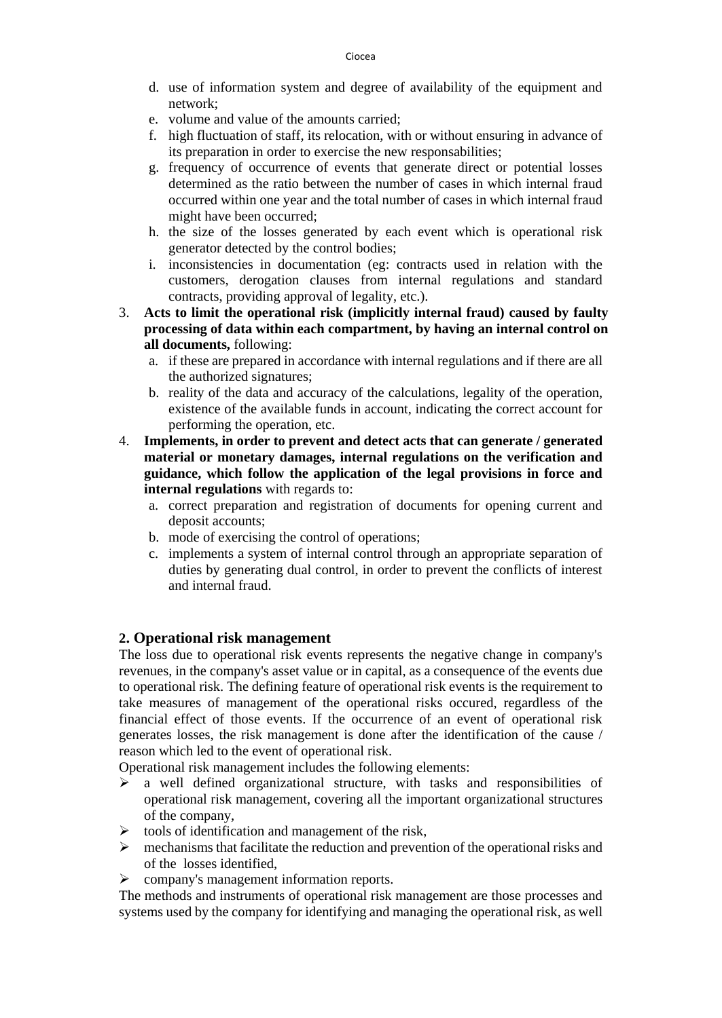- d. use of information system and degree of availability of the equipment and network;
- e. volume and value of the amounts carried;
- f. high fluctuation of staff, its relocation, with or without ensuring in advance of its preparation in order to exercise the new responsabilities;
- g. frequency of occurrence of events that generate direct or potential losses determined as the ratio between the number of cases in which internal fraud occurred within one year and the total number of cases in which internal fraud might have been occurred;
- h. the size of the losses generated by each event which is operational risk generator detected by the control bodies;
- i. inconsistencies in documentation (eg: contracts used in relation with the customers, derogation clauses from internal regulations and standard contracts, providing approval of legality, etc.).
- 3. **Acts to limit the operational risk (implicitly internal fraud) caused by faulty processing of data within each compartment, by having an internal control on all documents,** following:
	- a. if these are prepared in accordance with internal regulations and if there are all the authorized signatures;
	- b. reality of the data and accuracy of the calculations, legality of the operation, existence of the available funds in account, indicating the correct account for performing the operation, etc.
- 4. **Implements, in order to prevent and detect acts that can generate / generated material or monetary damages, internal regulations on the verification and guidance, which follow the application of the legal provisions in force and internal regulations** with regards to:
	- a. correct preparation and registration of documents for opening current and deposit accounts;
	- b. mode of exercising the control of operations;
	- c. implements a system of internal control through an appropriate separation of duties by generating dual control, in order to prevent the conflicts of interest and internal fraud.

## **2. Operational risk management**

The loss due to operational risk events represents the negative change in company's revenues, in the company's asset value or in capital, as a consequence of the events due to operational risk. The defining feature of operational risk events is the requirement to take measures of management of the operational risks occured, regardless of the financial effect of those events. If the occurrence of an event of operational risk generates losses, the risk management is done after the identification of the cause / reason which led to the event of operational risk.

Operational risk management includes the following elements:

- $\triangleright$  a well defined organizational structure, with tasks and responsibilities of operational risk management, covering all the important organizational structures of the company,
- $\triangleright$  tools of identification and management of the risk,
- $\triangleright$  mechanisms that facilitate the reduction and prevention of the operational risks and of the losses identified,
- company's management information reports.

The methods and instruments of operational risk management are those processes and systems used by the company for identifying and managing the operational risk, as well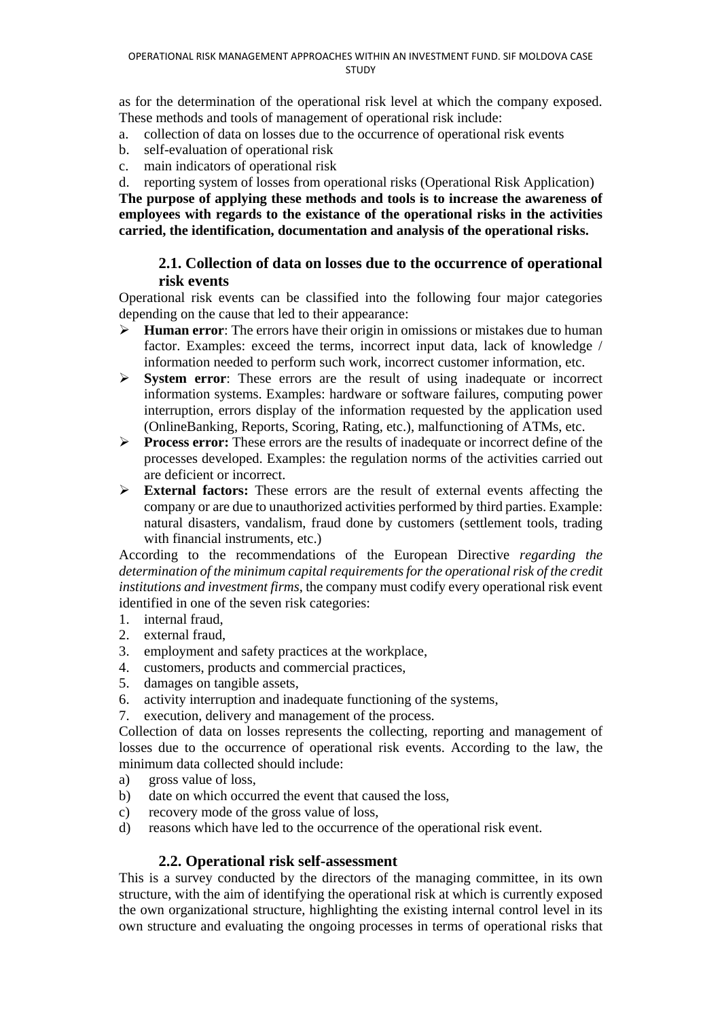as for the determination of the operational risk level at which the company exposed. These methods and tools of management of operational risk include:

- a. collection of data on losses due to the occurrence of operational risk events
- b. self-evaluation of operational risk
- c. main indicators of operational risk
- d. reporting system of losses from operational risks (Operational Risk Application)

**The purpose of applying these methods and tools is to increase the awareness of employees with regards to the existance of the operational risks in the activities carried, the identification, documentation and analysis of the operational risks.**

# **2.1. Collection of data on losses due to the occurrence of operational risk events**

Operational risk events can be classified into the following four major categories depending on the cause that led to their appearance:

- **Human error**: The errors have their origin in omissions or mistakes due to human factor. Examples: exceed the terms, incorrect input data, lack of knowledge / information needed to perform such work, incorrect customer information, etc.
- **System error**: These errors are the result of using inadequate or incorrect information systems. Examples: hardware or software failures, computing power interruption, errors display of the information requested by the application used (OnlineBanking, Reports, Scoring, Rating, etc.), malfunctioning of ATMs, etc.
- **Process error:** These errors are the results of inadequate or incorrect define of the processes developed. Examples: the regulation norms of the activities carried out are deficient or incorrect.
- **External factors:** These errors are the result of external events affecting the company or are due to unauthorized activities performed by third parties. Example: natural disasters, vandalism, fraud done by customers (settlement tools, trading with financial instruments, etc.)

According to the recommendations of the European Directive *regarding the determination of the minimum capital requirements for the operational risk of the credit institutions and investment firms*, the company must codify every operational risk event identified in one of the seven risk categories:

- 1. internal fraud,
- 2. external fraud,
- 3. employment and safety practices at the workplace,
- 4. customers, products and commercial practices,
- 5. damages on tangible assets,
- 6. activity interruption and inadequate functioning of the systems,
- 7. execution, delivery and management of the process.

Collection of data on losses represents the collecting, reporting and management of losses due to the occurrence of operational risk events. According to the law, the minimum data collected should include:

- a) gross value of loss,
- b) date on which occurred the event that caused the loss,
- c) recovery mode of the gross value of loss,
- d) reasons which have led to the occurrence of the operational risk event.

## **2.2. Operational risk self-assessment**

This is a survey conducted by the directors of the managing committee, in its own structure, with the aim of identifying the operational risk at which is currently exposed the own organizational structure, highlighting the existing internal control level in its own structure and evaluating the ongoing processes in terms of operational risks that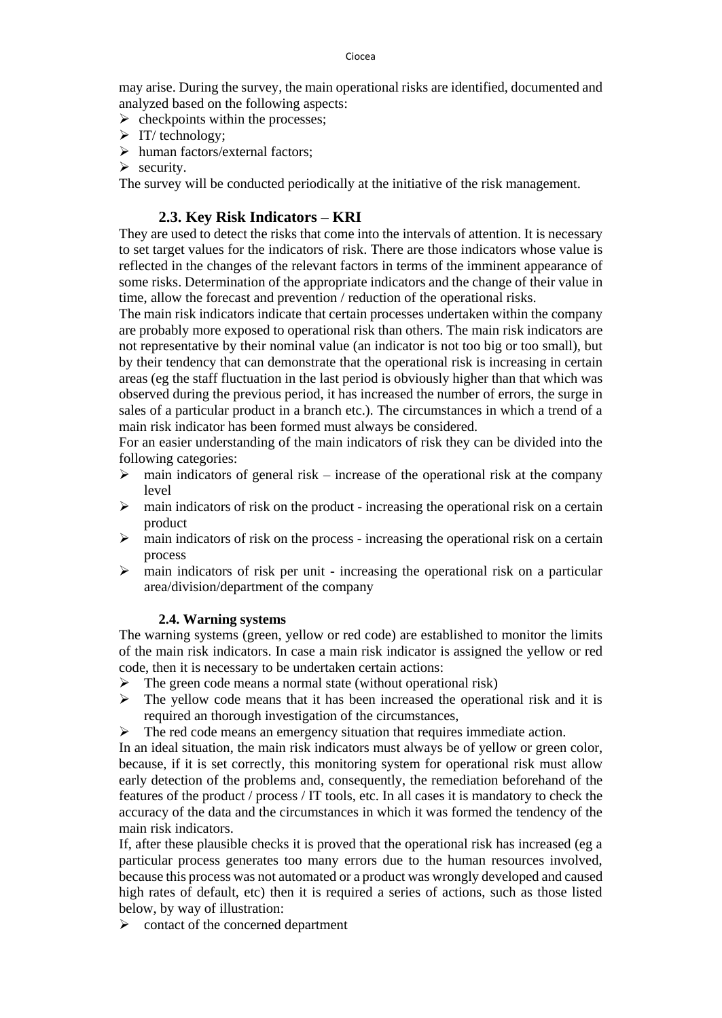may arise. During the survey, the main operational risks are identified, documented and analyzed based on the following aspects:

- $\triangleright$  checkpoints within the processes;
- $\triangleright$  IT/ technology;
- human factors/external factors;
- $\triangleright$  security.

The survey will be conducted periodically at the initiative of the risk management.

## **2.3. Key Risk Indicators – KRI**

They are used to detect the risks that come into the intervals of attention. It is necessary to set target values for the indicators of risk. There are those indicators whose value is reflected in the changes of the relevant factors in terms of the imminent appearance of some risks. Determination of the appropriate indicators and the change of their value in time, allow the forecast and prevention / reduction of the operational risks.

The main risk indicators indicate that certain processes undertaken within the company are probably more exposed to operational risk than others. The main risk indicators are not representative by their nominal value (an indicator is not too big or too small), but by their tendency that can demonstrate that the operational risk is increasing in certain areas (eg the staff fluctuation in the last period is obviously higher than that which was observed during the previous period, it has increased the number of errors, the surge in sales of a particular product in a branch etc.). The circumstances in which a trend of a main risk indicator has been formed must always be considered.

For an easier understanding of the main indicators of risk they can be divided into the following categories:

- $\triangleright$  main indicators of general risk increase of the operational risk at the company level
- $\triangleright$  main indicators of risk on the product increasing the operational risk on a certain product
- $\triangleright$  main indicators of risk on the process increasing the operational risk on a certain process
- $\triangleright$  main indicators of risk per unit increasing the operational risk on a particular area/division/department of the company

### **2.4. Warning systems**

The warning systems (green, yellow or red code) are established to monitor the limits of the main risk indicators. In case a main risk indicator is assigned the yellow or red code, then it is necessary to be undertaken certain actions:

- $\triangleright$  The green code means a normal state (without operational risk)
- $\triangleright$  The yellow code means that it has been increased the operational risk and it is required an thorough investigation of the circumstances,
- $\triangleright$  The red code means an emergency situation that requires immediate action.

In an ideal situation, the main risk indicators must always be of yellow or green color, because, if it is set correctly, this monitoring system for operational risk must allow early detection of the problems and, consequently, the remediation beforehand of the features of the product / process / IT tools, etc. In all cases it is mandatory to check the accuracy of the data and the circumstances in which it was formed the tendency of the main risk indicators.

If, after these plausible checks it is proved that the operational risk has increased (eg a particular process generates too many errors due to the human resources involved, because this process was not automated or a product was wrongly developed and caused high rates of default, etc) then it is required a series of actions, such as those listed below, by way of illustration:

 $\triangleright$  contact of the concerned department